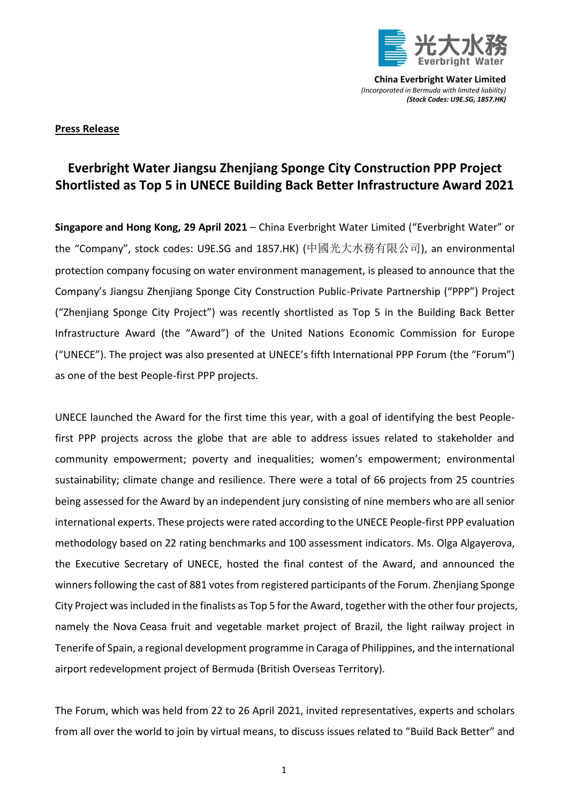

## **Press Release**

## **Everbright Water Jiangsu Zhenjiang Sponge City Construction PPP Project Shortlisted as Top 5 in UNECE Building Back Better Infrastructure Award 2021**

**Singapore and Hong Kong, 29 April 2021** – China Everbright Water Limited ("Everbright Water" or the "Company", stock codes: U9E.SG and 1857.HK) (中國光大水務有限公司), an environmental protection company focusing on water environment management, is pleased to announce that the Company's Jiangsu Zhenjiang Sponge City Construction Public-Private Partnership ("PPP") Project ("Zhenjiang Sponge City Project") was recently shortlisted as Top 5 in the Building Back Better Infrastructure Award (the "Award") of the United Nations Economic Commission for Europe ("UNECE"). The project was also presented at UNECE's fifth International PPP Forum (the "Forum") as one of the best People-first PPP projects.

UNECE launched the Award for the first time this year, with a goal of identifying the best Peoplefirst PPP projects across the globe that are able to address issues related to stakeholder and community empowerment; poverty and inequalities; women's empowerment; environmental sustainability; climate change and resilience. There were a total of 66 projects from 25 countries being assessed for the Award by an independent jury consisting of nine members who are all senior international experts. These projects were rated according to the UNECE People-first PPP evaluation methodology based on 22 rating benchmarks and 100 assessment indicators. Ms. Olga Algayerova, the Executive Secretary of UNECE, hosted the final contest of the Award, and announced the winners following the cast of 881 votes from registered participants of the Forum. Zhenjiang Sponge City Project was included in the finalists as Top 5 for the Award, together with the other four projects, namely the Nova Ceasa fruit and vegetable market project of Brazil, the light railway project in Tenerife of Spain, a regional development programme in Caraga of Philippines, and the international airport redevelopment project of Bermuda (British Overseas Territory).

The Forum, which was held from 22 to 26 April 2021, invited representatives, experts and scholars from all over the world to join by virtual means, to discuss issues related to "Build Back Better" and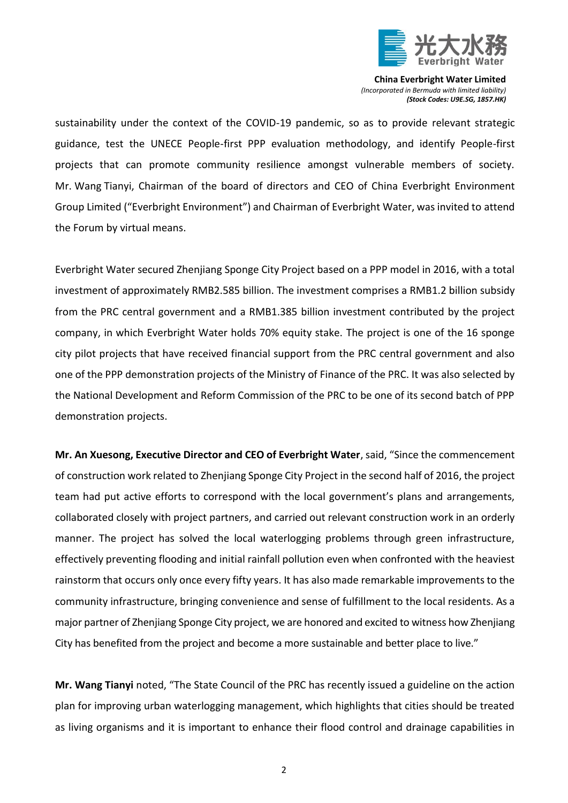

sustainability under the context of the COVID-19 pandemic, so as to provide relevant strategic guidance, test the UNECE People-first PPP evaluation methodology, and identify People-first projects that can promote community resilience amongst vulnerable members of society. Mr. Wang Tianyi, Chairman of the board of directors and CEO of China Everbright Environment Group Limited ("Everbright Environment") and Chairman of Everbright Water, was invited to attend the Forum by virtual means.

Everbright Water secured Zhenjiang Sponge City Project based on a PPP model in 2016, with a total investment of approximately RMB2.585 billion. The investment comprises a RMB1.2 billion subsidy from the PRC central government and a RMB1.385 billion investment contributed by the project company, in which Everbright Water holds 70% equity stake. The project is one of the 16 sponge city pilot projects that have received financial support from the PRC central government and also one of the PPP demonstration projects of the Ministry of Finance of the PRC. It was also selected by the National Development and Reform Commission of the PRC to be one of its second batch of PPP demonstration projects.

**Mr. An Xuesong, Executive Director and CEO of Everbright Water**, said, "Since the commencement of construction work related to Zhenjiang Sponge City Project in the second half of 2016, the project team had put active efforts to correspond with the local government's plans and arrangements, collaborated closely with project partners, and carried out relevant construction work in an orderly manner. The project has solved the local waterlogging problems through green infrastructure, effectively preventing flooding and initial rainfall pollution even when confronted with the heaviest rainstorm that occurs only once every fifty years. It has also made remarkable improvements to the community infrastructure, bringing convenience and sense of fulfillment to the local residents. As a major partner of Zhenjiang Sponge City project, we are honored and excited to witness how Zhenjiang City has benefited from the project and become a more sustainable and better place to live."

**Mr. Wang Tianyi** noted, "The State Council of the PRC has recently issued a guideline on the action plan for improving urban waterlogging management, which highlights that cities should be treated as living organisms and it is important to enhance their flood control and drainage capabilities in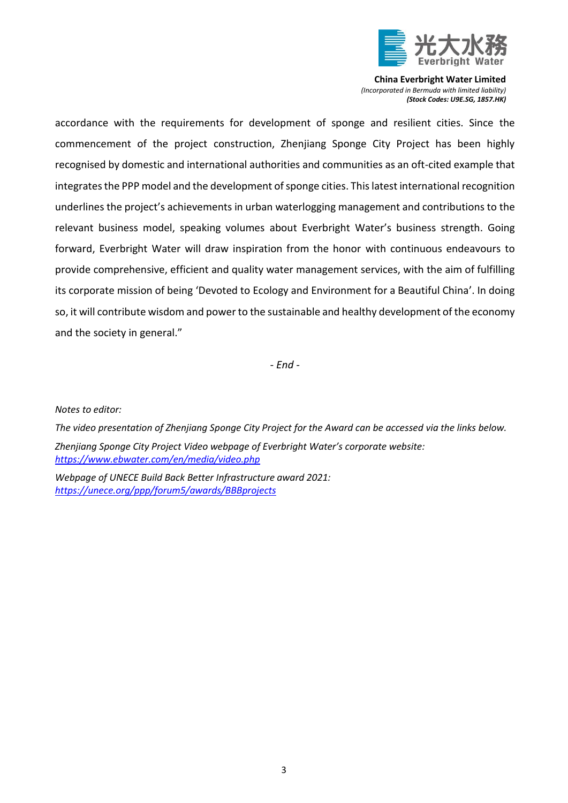

accordance with the requirements for development of sponge and resilient cities. Since the commencement of the project construction, Zhenjiang Sponge City Project has been highly recognised by domestic and international authorities and communities as an oft-cited example that integrates the PPP model and the development of sponge cities. This latest international recognition underlines the project's achievements in urban waterlogging management and contributions to the relevant business model, speaking volumes about Everbright Water's business strength. Going forward, Everbright Water will draw inspiration from the honor with continuous endeavours to provide comprehensive, efficient and quality water management services, with the aim of fulfilling its corporate mission of being 'Devoted to Ecology and Environment for a Beautiful China'. In doing so, it will contribute wisdom and power to the sustainable and healthy development of the economy and the society in general."

*- End -*

*Notes to editor:* 

*The video presentation of Zhenjiang Sponge City Project for the Award can be accessed via the links below. Zhenjiang Sponge City Project Video webpage of Everbright Water's corporate website: <https://www.ebwater.com/en/media/video.php>*

*Webpage of UNECE Build Back Better Infrastructure award 2021: <https://unece.org/ppp/forum5/awards/BBBprojects>*